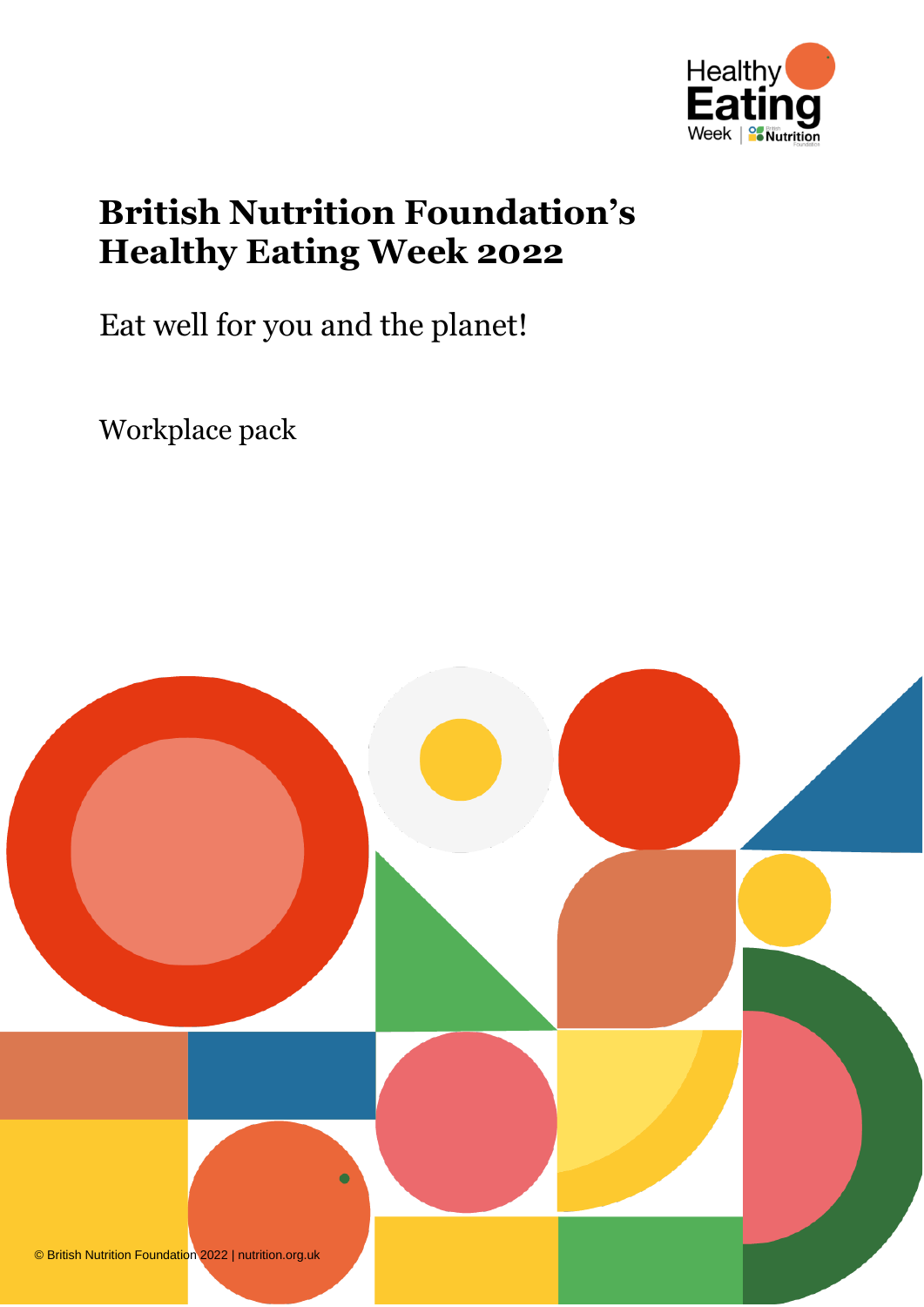

# **British Nutrition Foundation's Healthy Eating Week 2022**

Eat well for you and the planet!

Workplace pack

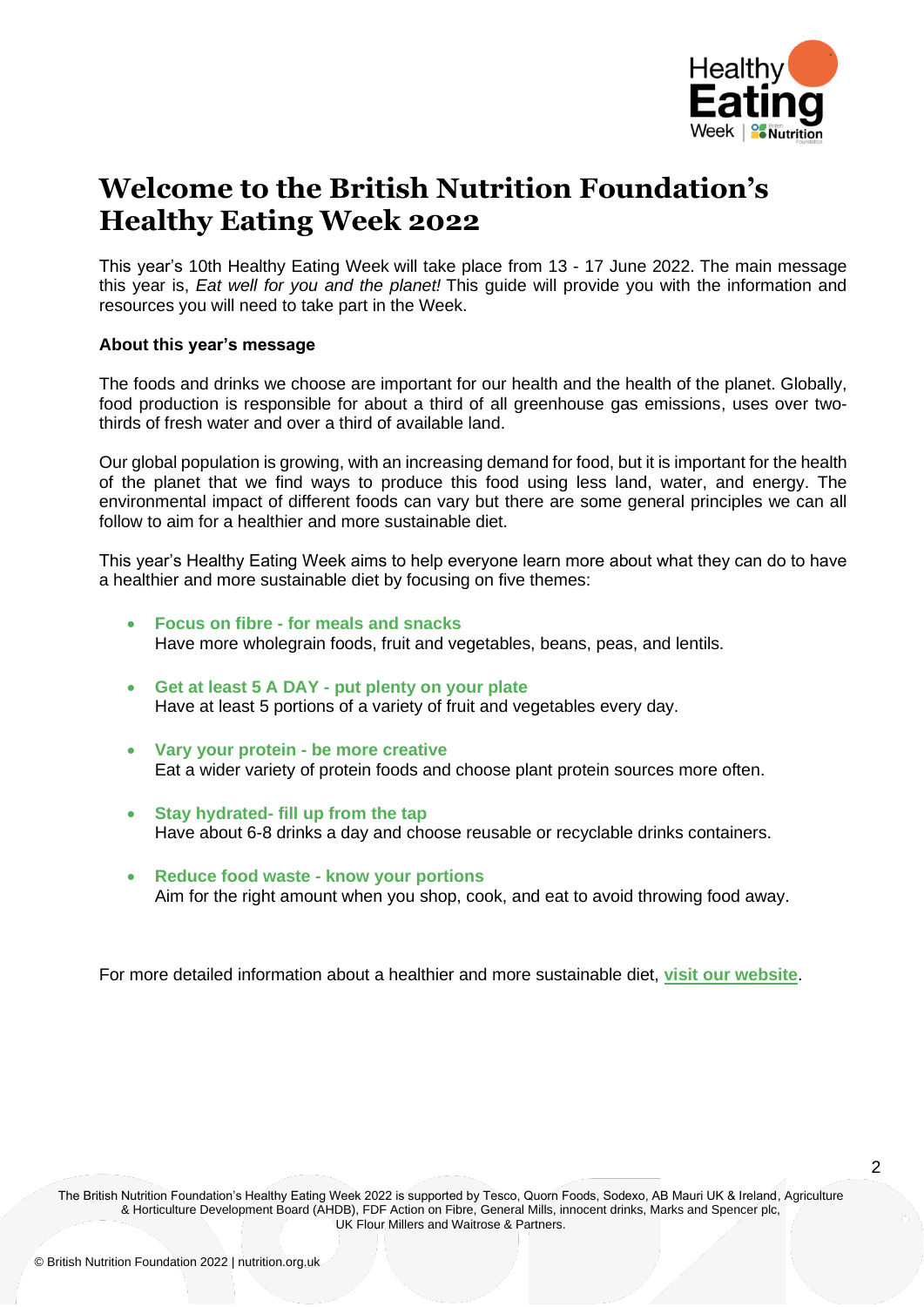

 $\mathfrak{p}$ 

## **Welcome to the British Nutrition Foundation's Healthy Eating Week 2022**

This year's 10th Healthy Eating Week will take place from 13 - 17 June 2022. The main message this year is, *Eat well for you and the planet!* This guide will provide you with the information and resources you will need to take part in the Week.

#### **About this year's message**

The foods and drinks we choose are important for our health and the health of the planet. Globally, food production is responsible for about a third of all greenhouse gas emissions, uses over twothirds of fresh water and over a third of available land.

Our global population is growing, with an increasing demand for food, but it is important for the health of the planet that we find ways to produce this food using less land, water, and energy. The environmental impact of different foods can vary but there are some general principles we can all follow to aim for a healthier and more sustainable diet.

This year's Healthy Eating Week aims to help everyone learn more about what they can do to have a healthier and more sustainable diet by focusing on five themes:

- **Focus on fibre - for meals and snacks** Have more wholegrain foods, fruit and vegetables, beans, peas, and lentils.
- **Get at least 5 A DAY - put plenty on your plate** Have at least 5 portions of a variety of fruit and vegetables every day.
- **Vary your protein - be more creative**  Eat a wider variety of protein foods and choose plant protein sources more often.
- **Stay hydrated- fill up from the tap** Have about 6-8 drinks a day and choose reusable or recyclable drinks containers.
- **Reduce food waste - know your portions**  Aim for the right amount when you shop, cook, and eat to avoid throwing food away.

For more detailed information about a healthier and more sustainable diet, **[visit our](https://www.nutrition.org.uk/healthy-sustainable-diets/healthy-and-sustainable-diets/eating-healthily-and-sustainably/) website**.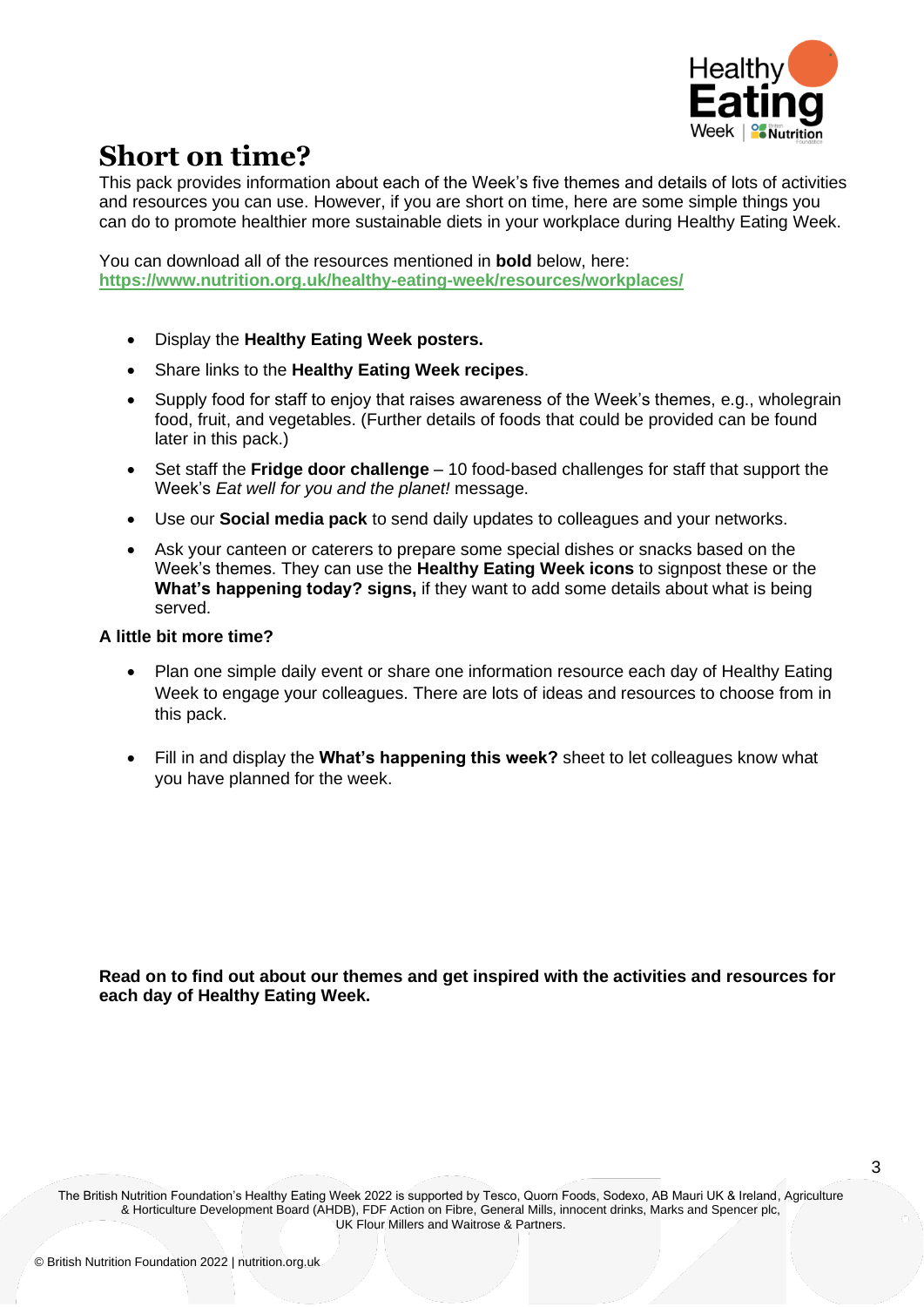

## **Short on time?**

This pack provides information about each of the Week's five themes and details of lots of activities and resources you can use. However, if you are short on time, here are some simple things you can do to promote healthier more sustainable diets in your workplace during Healthy Eating Week.

You can download all of the resources mentioned in **bold** below, here: **<https://www.nutrition.org.uk/healthy-eating-week/resources/workplaces/>**

- Display the **Healthy Eating Week posters.**
- Share links to the **Healthy Eating Week recipes**.
- Supply food for staff to enjoy that raises awareness of the Week's themes, e.g., wholegrain food, fruit, and vegetables. (Further details of foods that could be provided can be found later in this pack.)
- Set staff the **Fridge door challenge** 10 food-based challenges for staff that support the Week's *Eat well for you and the planet!* message.
- Use our **Social media pack** to send daily updates to colleagues and your networks.
- Ask your canteen or caterers to prepare some special dishes or snacks based on the Week's themes. They can use the **Healthy Eating Week icons** to signpost these or the **What's happening today? signs,** if they want to add some details about what is being served.

#### **A little bit more time?**

- Plan one simple daily event or share one information resource each day of Healthy Eating Week to engage your colleagues. There are lots of ideas and resources to choose from in this pack.
- Fill in and display the **What's happening this week?** sheet to let colleagues know what you have planned for the week.

**Read on to find out about our themes and get inspired with the activities and resources for each day of Healthy Eating Week.**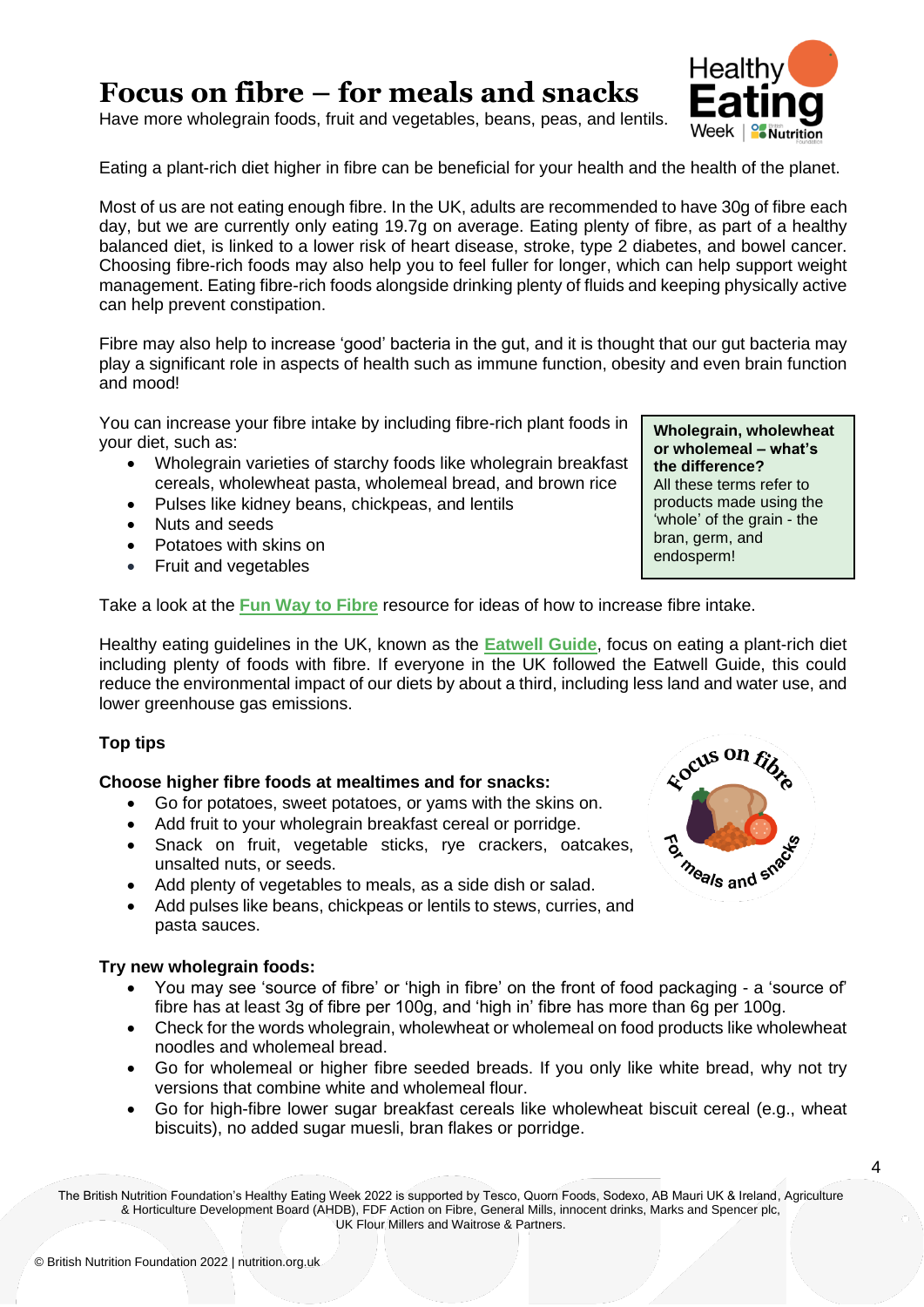### **Focus on fibre – for meals and snacks**

Have more wholegrain foods, fruit and vegetables, beans, peas, and lentils.

Eating a plant-rich diet higher in fibre can be beneficial for your health and the health of the planet.

Most of us are not eating enough fibre. In the UK, adults are recommended to have 30g of fibre each day, but we are currently only eating 19.7g on average. Eating plenty of fibre, as part of a healthy balanced diet, is linked to a lower risk of heart disease, stroke, type 2 diabetes, and bowel cancer. Choosing fibre-rich foods may also help you to feel fuller for longer, which can help support weight management. Eating fibre-rich foods alongside drinking plenty of fluids and keeping physically active can help prevent constipation.

Fibre may also help to increase 'good' bacteria in the gut, and it is thought that our gut bacteria may play a significant role in aspects of health such as immune function, obesity and even brain function and mood!

You can increase your fibre intake by including fibre-rich plant foods in your diet, such as:

- Wholegrain varieties of starchy foods like wholegrain breakfast cereals, wholewheat pasta, wholemeal bread, and brown rice
- Pulses like kidney beans, chickpeas, and lentils
- Nuts and seeds
- Potatoes with skins on
- Fruit and vegetables

Take a look at the **[Fun Way to Fibre](https://www.nutrition.org.uk/media/v11nc2a4/fun-way-to-fibre_nov-2021.pdf)** resource for ideas of how to increase fibre intake.

Healthy eating guidelines in the UK, known as the **[Eatwell Guide](https://www.gov.uk/government/publications/the-eatwell-guide)**, focus on eating a plant-rich diet including plenty of foods with fibre. If everyone in the UK followed the Eatwell Guide, this could reduce the environmental impact of our diets by about a third, including less land and water use, and lower greenhouse gas emissions.

#### **Top tips**

#### **Choose higher fibre foods at mealtimes and for snacks:**

- Go for potatoes, sweet potatoes, or yams with the skins on.
- Add fruit to your wholegrain breakfast cereal or porridge.
- Snack on fruit, vegetable sticks, rye crackers, oatcakes, unsalted nuts, or seeds.
- Add plenty of vegetables to meals, as a side dish or salad.
- Add pulses like beans, chickpeas or lentils to stews, curries, and pasta sauces.

#### **Try new wholegrain foods:**

- You may see 'source of fibre' or 'high in fibre' on the front of food packaging a 'source of' fibre has at least 3g of fibre per 100g, and 'high in' fibre has more than 6g per 100g.
- Check for the words wholegrain, wholewheat or wholemeal on food products like wholewheat noodles and wholemeal bread.
- Go for wholemeal or higher fibre seeded breads. If you only like white bread, why not try versions that combine white and wholemeal flour.
- Go for high-fibre lower sugar breakfast cereals like wholewheat biscuit cereal (e.g., wheat biscuits), no added sugar muesli, bran flakes or porridge.

The British Nutrition Foundation's Healthy Eating Week 2022 is supported by Tesco, Quorn Foods, Sodexo, AB Mauri UK & Ireland, Agriculture & Horticulture Development Board (AHDB), FDF Action on Fibre, General Mills, innocent drinks, Marks and Spencer plc, UK Flour Millers and Waitrose & Partners.





**Wholegrain, wholewheat or wholemeal – what's the difference?** All these terms refer to products made using the 'whole' of the grain - the bran, germ, and endosperm!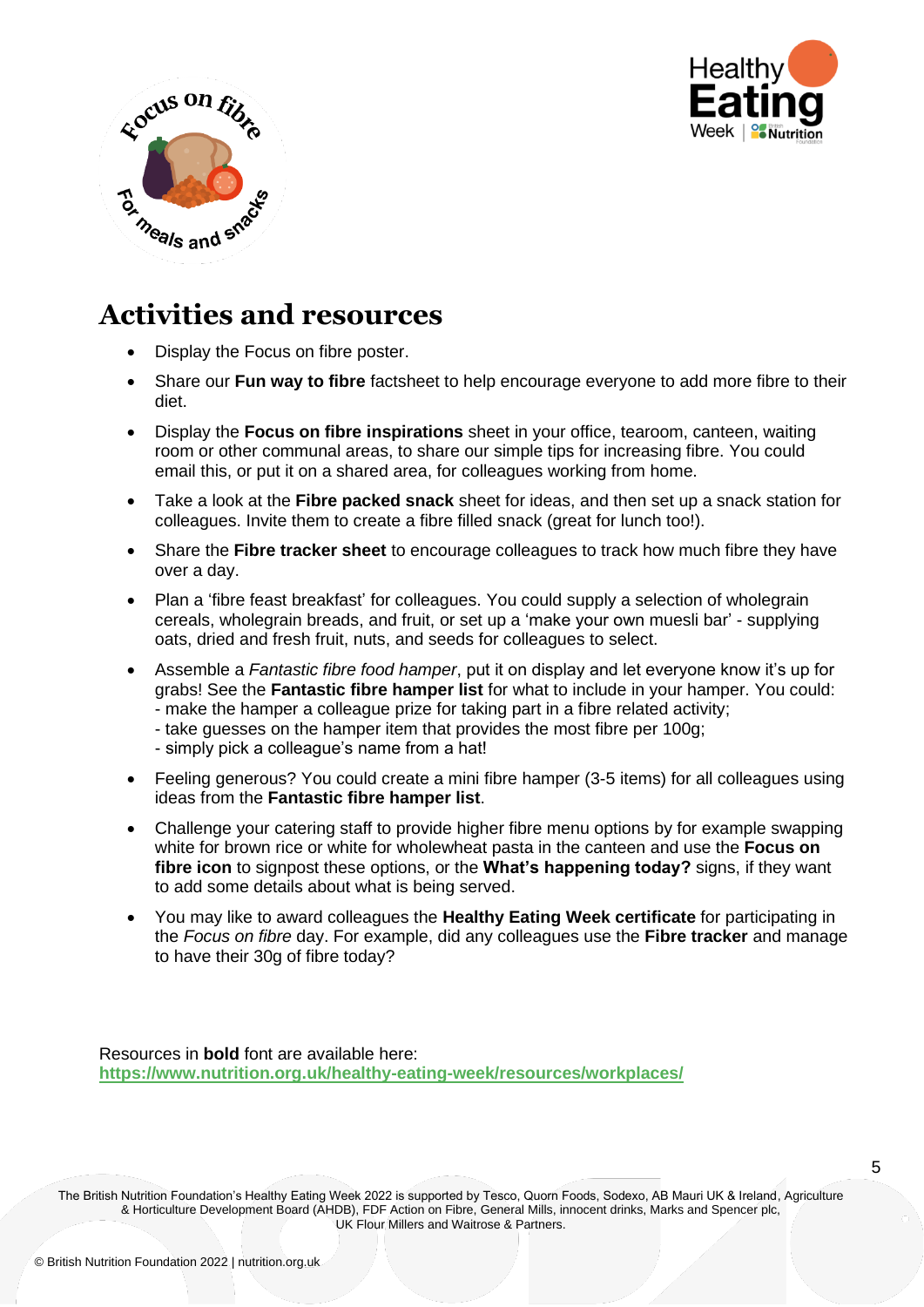



- Display the Focus on fibre poster.
- Share our **Fun way to fibre** factsheet to help encourage everyone to add more fibre to their diet.
- Display the **Focus on fibre inspirations** sheet in your office, tearoom, canteen, waiting room or other communal areas, to share our simple tips for increasing fibre. You could email this, or put it on a shared area, for colleagues working from home.
- Take a look at the **Fibre packed snack** sheet for ideas, and then set up a snack station for colleagues. Invite them to create a fibre filled snack (great for lunch too!).
- Share the **Fibre tracker sheet** to encourage colleagues to track how much fibre they have over a day.
- Plan a 'fibre feast breakfast' for colleagues. You could supply a selection of wholegrain cereals, wholegrain breads, and fruit, or set up a 'make your own muesli bar' - supplying oats, dried and fresh fruit, nuts, and seeds for colleagues to select.
- Assemble a *Fantastic fibre food hamper*, put it on display and let everyone know it's up for grabs! See the **Fantastic fibre hamper list** for what to include in your hamper. You could: - make the hamper a colleague prize for taking part in a fibre related activity; - take guesses on the hamper item that provides the most fibre per 100g;
	- simply pick a colleague's name from a hat!
- Feeling generous? You could create a mini fibre hamper (3-5 items) for all colleagues using ideas from the **Fantastic fibre hamper list**.
- Challenge your catering staff to provide higher fibre menu options by for example swapping white for brown rice or white for wholewheat pasta in the canteen and use the **Focus on fibre icon** to signpost these options, or the **What's happening today?** signs, if they want to add some details about what is being served.
- You may like to award colleagues the **Healthy Eating Week certificate** for participating in the *Focus on fibre* day. For example, did any colleagues use the **Fibre tracker** and manage to have their 30g of fibre today?

Resources in **bold** font are available here: **<https://www.nutrition.org.uk/healthy-eating-week/resources/workplaces/>**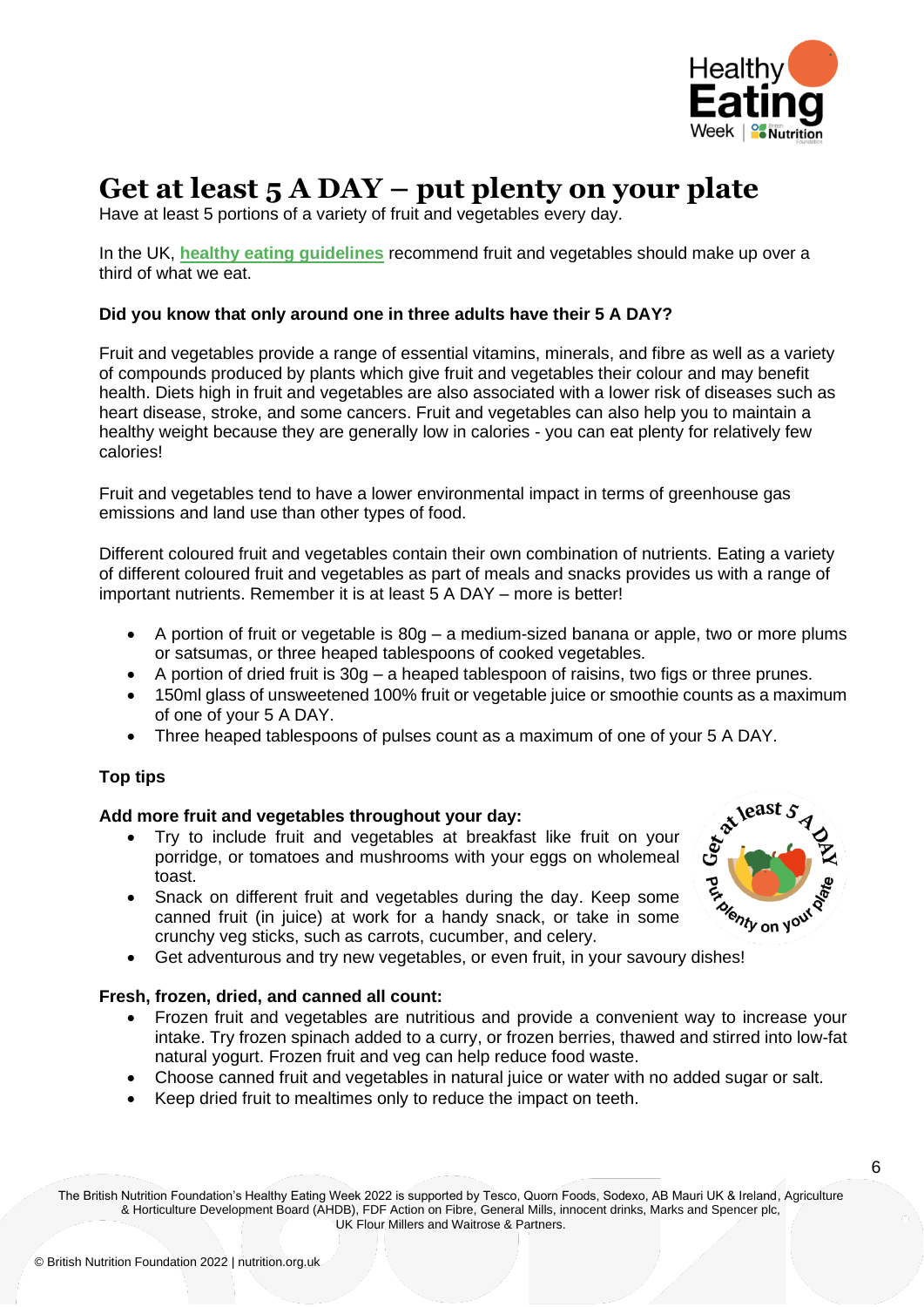

## **Get at least 5 A DAY – put plenty on your plate**

Have at least 5 portions of a variety of fruit and vegetables every day.

In the UK, **[healthy eating guidelines](https://assets.publishing.service.gov.uk/government/uploads/system/uploads/attachment_data/file/742750/Eatwell_Guide_booklet_2018v4.pdf)** recommend fruit and vegetables should make up over a third of what we eat.

#### **Did you know that only around one in three adults have their 5 A DAY?**

Fruit and vegetables provide a range of essential vitamins, minerals, and fibre as well as a variety of compounds produced by plants which give fruit and vegetables their colour and may benefit health. Diets high in fruit and vegetables are also associated with a lower risk of diseases such as heart disease, stroke, and some cancers. Fruit and vegetables can also help you to maintain a healthy weight because they are generally low in calories - you can eat plenty for relatively few calories!

Fruit and vegetables tend to have a lower environmental impact in terms of greenhouse gas emissions and land use than other types of food.

Different coloured fruit and vegetables contain their own combination of nutrients. Eating a variety of different coloured fruit and vegetables as part of meals and snacks provides us with a range of important nutrients. Remember it is at least 5 A DAY – more is better!

- A portion of fruit or vegetable is 80g a medium-sized banana or apple, two or more plums or satsumas, or three heaped tablespoons of cooked vegetables.
- A portion of dried fruit is 30g a heaped tablespoon of raisins, two figs or three prunes.
- 150ml glass of unsweetened 100% fruit or vegetable juice or smoothie counts as a maximum of one of your 5 A DAY.
- Three heaped tablespoons of pulses count as a maximum of one of your 5 A DAY.

#### **Top tips**

#### **Add more fruit and vegetables throughout your day:**

- Try to include fruit and vegetables at breakfast like fruit on your porridge, or tomatoes and mushrooms with your eggs on wholemeal toast.
- Snack on different fruit and vegetables during the day. Keep some canned fruit (in juice) at work for a handy snack, or take in some crunchy veg sticks, such as carrots, cucumber, and celery.
- Get adventurous and try new vegetables, or even fruit, in your savoury dishes!

#### **Fresh, frozen, dried, and canned all count:**

- Frozen fruit and vegetables are nutritious and provide a convenient way to increase your intake. Try frozen spinach added to a curry, or frozen berries, thawed and stirred into low-fat natural yogurt. Frozen fruit and veg can help reduce food waste.
- Choose canned fruit and vegetables in natural juice or water with no added sugar or salt.
- Keep dried fruit to mealtimes only to reduce the impact on teeth.

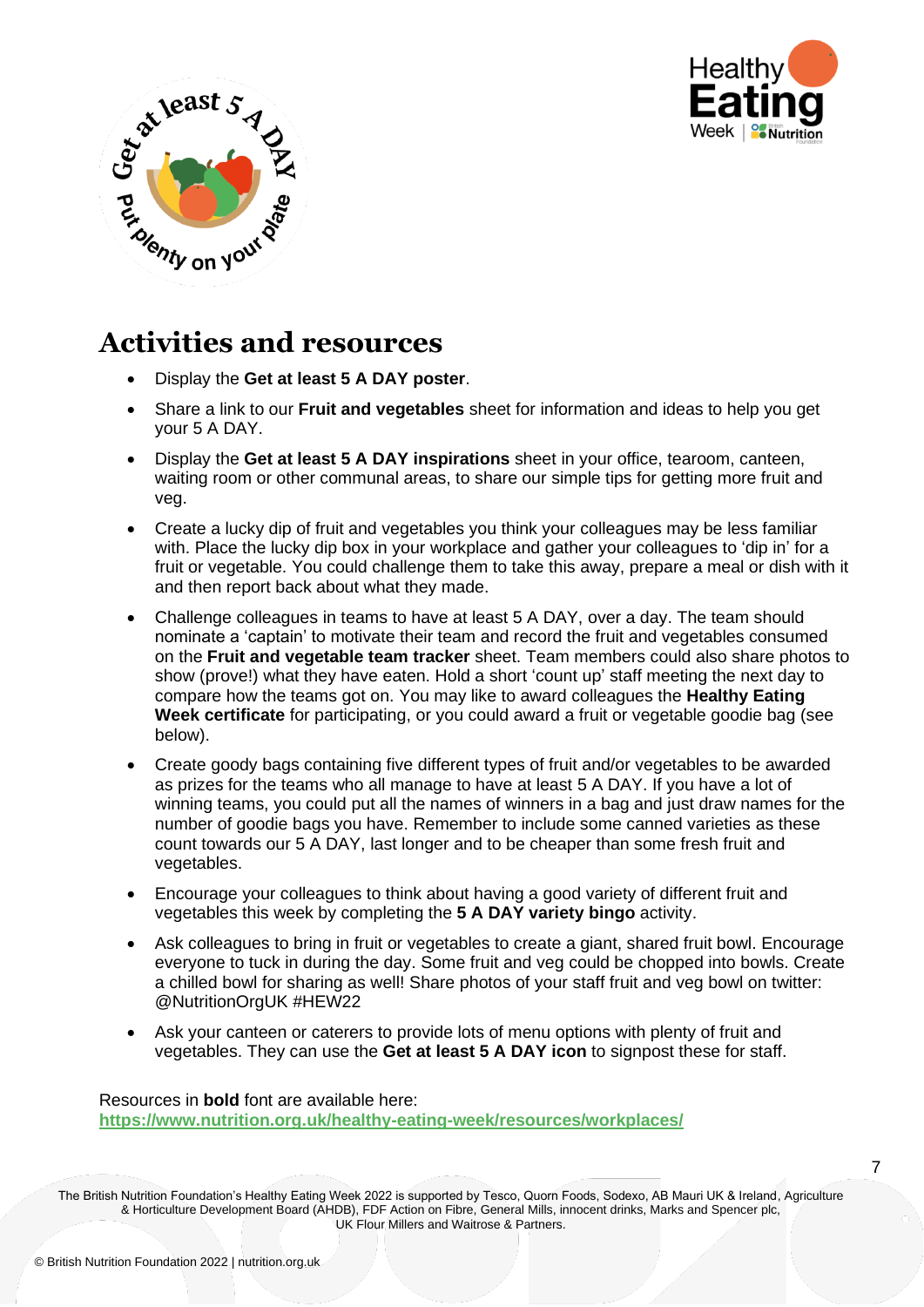



- Display the **Get at least 5 A DAY poster**.
- Share a link to our **Fruit and vegetables** sheet for information and ideas to help you get your 5 A DAY.
- Display the **Get at least 5 A DAY inspirations** sheet in your office, tearoom, canteen, waiting room or other communal areas, to share our simple tips for getting more fruit and veg.
- Create a lucky dip of fruit and vegetables you think your colleagues may be less familiar with. Place the lucky dip box in your workplace and gather your colleagues to 'dip in' for a fruit or vegetable. You could challenge them to take this away, prepare a meal or dish with it and then report back about what they made.
- Challenge colleagues in teams to have at least 5 A DAY, over a day. The team should nominate a 'captain' to motivate their team and record the fruit and vegetables consumed on the **Fruit and vegetable team tracker** sheet. Team members could also share photos to show (prove!) what they have eaten. Hold a short 'count up' staff meeting the next day to compare how the teams got on. You may like to award colleagues the **Healthy Eating Week certificate** for participating, or you could award a fruit or vegetable goodie bag (see below).
- Create goody bags containing five different types of fruit and/or vegetables to be awarded as prizes for the teams who all manage to have at least 5 A DAY. If you have a lot of winning teams, you could put all the names of winners in a bag and just draw names for the number of goodie bags you have. Remember to include some canned varieties as these count towards our 5 A DAY, last longer and to be cheaper than some fresh fruit and vegetables.
- Encourage your colleagues to think about having a good variety of different fruit and vegetables this week by completing the **5 A DAY variety bingo** activity.
- Ask colleagues to bring in fruit or vegetables to create a giant, shared fruit bowl. Encourage everyone to tuck in during the day. Some fruit and veg could be chopped into bowls. Create a chilled bowl for sharing as well! Share photos of your staff fruit and veg bowl on twitter: @NutritionOrgUK #HEW22
- Ask your canteen or caterers to provide lots of menu options with plenty of fruit and vegetables. They can use the **Get at least 5 A DAY icon** to signpost these for staff.

Resources in **bold** font are available here: **<https://www.nutrition.org.uk/healthy-eating-week/resources/workplaces/>**

The British Nutrition Foundation's Healthy Eating Week 2022 is supported by Tesco, Quorn Foods, Sodexo, AB Mauri UK & Ireland, Agriculture & Horticulture Development Board (AHDB), FDF Action on Fibre, General Mills, innocent drinks, Marks and Spencer plc, UK Flour Millers and Waitrose & Partners.

7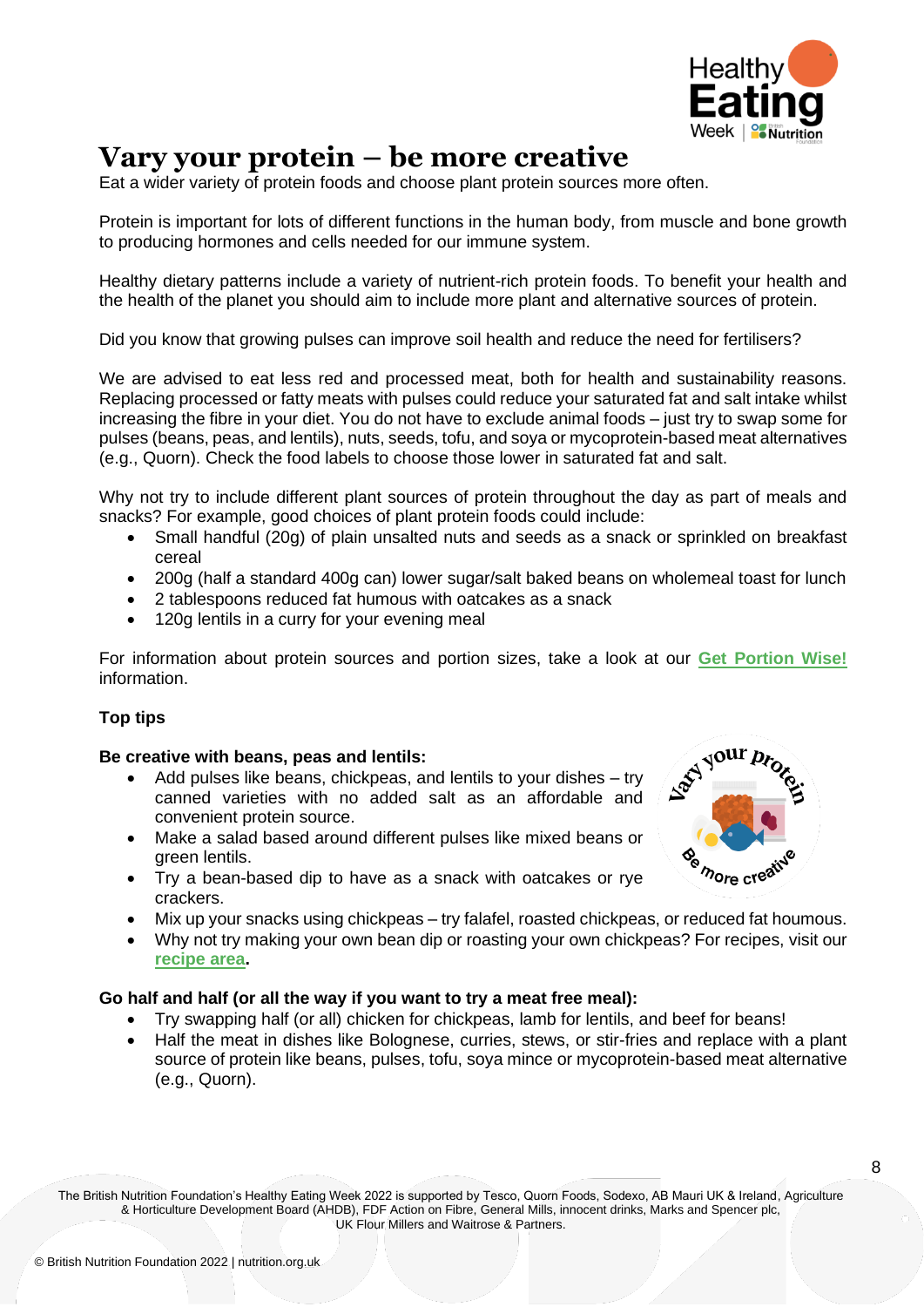

## **Vary your protein – be more creative**

Eat a wider variety of protein foods and choose plant protein sources more often.

Protein is important for lots of different functions in the human body, from muscle and bone growth to producing hormones and cells needed for our immune system.

Healthy dietary patterns include a variety of nutrient-rich protein foods. To benefit your health and the health of the planet you should aim to include more plant and alternative sources of protein.

Did you know that growing pulses can improve soil health and reduce the need for fertilisers?

We are advised to eat less red and processed meat, both for health and sustainability reasons. Replacing processed or fatty meats with pulses could reduce your saturated fat and salt intake whilst increasing the fibre in your diet. You do not have to exclude animal foods – just try to swap some for pulses (beans, peas, and lentils), nuts, seeds, tofu, and soya or mycoprotein-based meat alternatives (e.g., Quorn). Check the food labels to choose those lower in saturated fat and salt.

Why not try to include different plant sources of protein throughout the day as part of meals and snacks? For example, good choices of plant protein foods could include:

- Small handful (20g) of plain unsalted nuts and seeds as a snack or sprinkled on breakfast cereal
- 200g (half a standard 400g can) lower sugar/salt baked beans on wholemeal toast for lunch
- 2 tablespoons reduced fat humous with oatcakes as a snack
- 120g lentils in a curry for your evening meal

For information about protein sources and portion sizes, take a look at our **[Get Portion Wise!](https://www.nutrition.org.uk/media/ohunys2u/your-balanced-diet_16pp_final_web.pdf)** information.

#### **Top tips**

#### **Be creative with beans, peas and lentils:**

- Add pulses like beans, chickpeas, and lentils to your dishes try canned varieties with no added salt as an affordable and convenient protein source.
- Make a salad based around different pulses like mixed beans or green lentils.
- Try a bean-based dip to have as a snack with oatcakes or rye crackers.
- Mix up your snacks using chickpeas try falafel, roasted chickpeas, or reduced fat houmous.
- Why not try making your own bean dip or roasting your own chickpeas? For recipes, visit our **[recipe area.](https://www.nutrition.org.uk/healthy-eating-week/resources/recipes/)**

#### **Go half and half (or all the way if you want to try a meat free meal):**

- Try swapping half (or all) chicken for chickpeas, lamb for lentils, and beef for beans!
- Half the meat in dishes like Bolognese, curries, stews, or stir-fries and replace with a plant source of protein like beans, pulses, tofu, soya mince or mycoprotein-based meat alternative (e.g., Quorn).

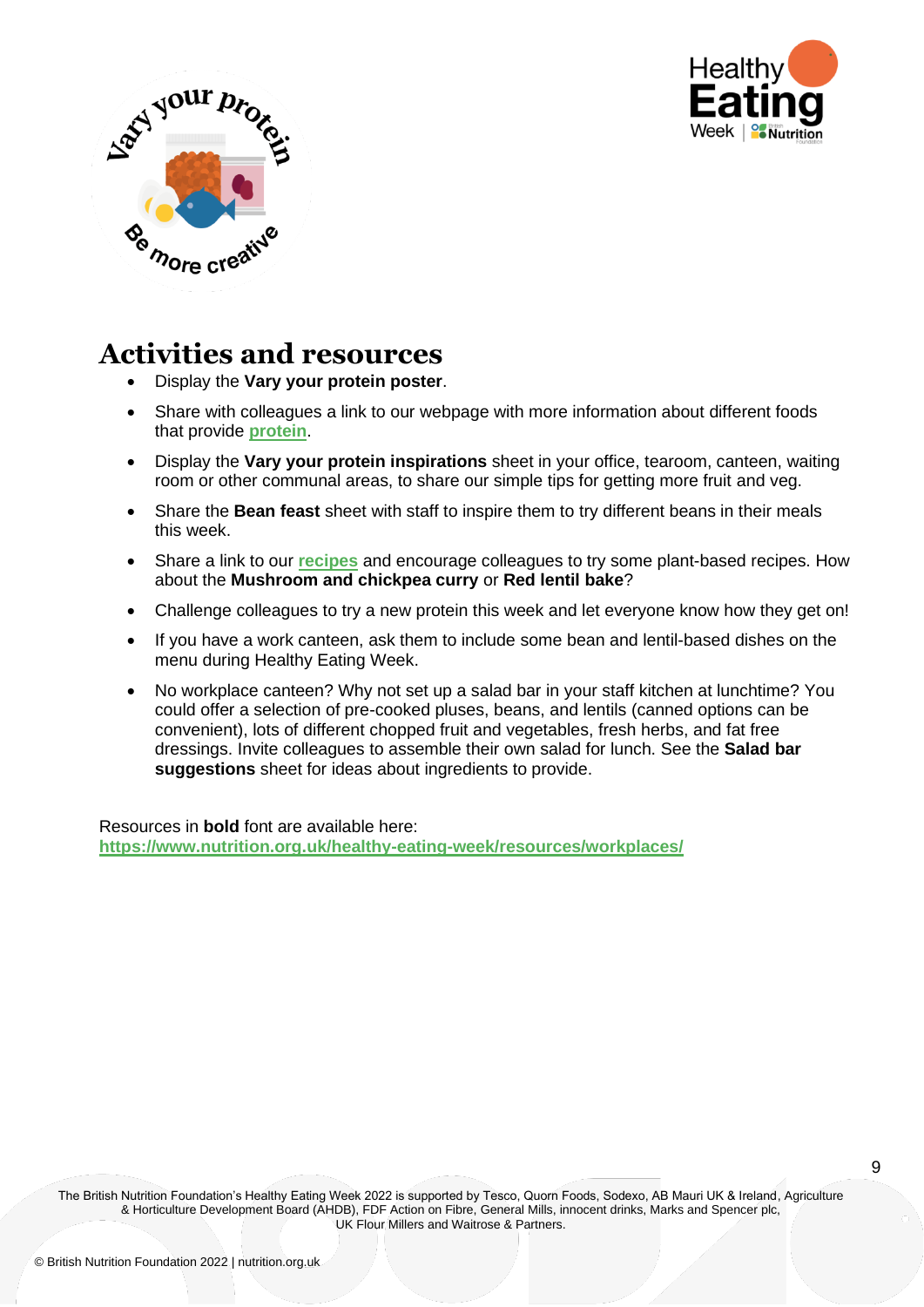



- Display the **Vary your protein poster**.
- Share with colleagues a link to our webpage with more information about different foods that provide **[protein](https://www.nutrition.org.uk/healthy-sustainable-diets/protein/)**.
- Display the **Vary your protein inspirations** sheet in your office, tearoom, canteen, waiting room or other communal areas, to share our simple tips for getting more fruit and veg.
- Share the **Bean feast** sheet with staff to inspire them to try different beans in their meals this week.
- Share a link to our **[recipes](https://www.nutrition.org.uk/healthy-eating-week/resources/recipes/)** and encourage colleagues to try some plant-based recipes. How about the **Mushroom and chickpea curry** or **Red lentil bake**?
- Challenge colleagues to try a new protein this week and let everyone know how they get on!
- If you have a work canteen, ask them to include some bean and lentil-based dishes on the menu during Healthy Eating Week.
- No workplace canteen? Why not set up a salad bar in your staff kitchen at lunchtime? You could offer a selection of pre-cooked pluses, beans, and lentils (canned options can be convenient), lots of different chopped fruit and vegetables, fresh herbs, and fat free dressings. Invite colleagues to assemble their own salad for lunch. See the **Salad bar suggestions** sheet for ideas about ingredients to provide.

Resources in **bold** font are available here: **<https://www.nutrition.org.uk/healthy-eating-week/resources/workplaces/>**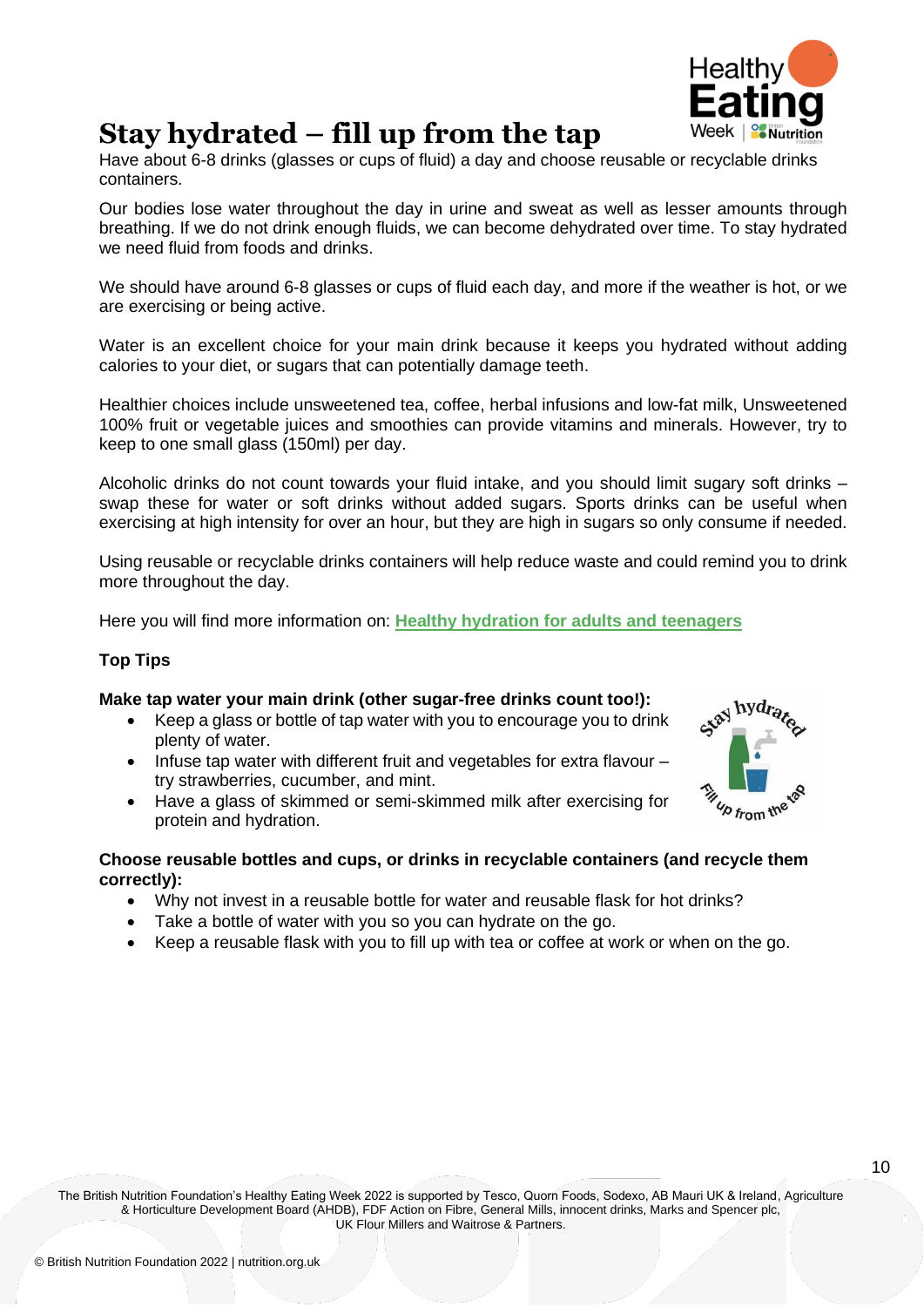

### **Stay hydrated – fill up from the tap**

Have about 6-8 drinks (glasses or cups of fluid) a day and choose reusable or recyclable drinks containers.

Our bodies lose water throughout the day in urine and sweat as well as lesser amounts through breathing. If we do not drink enough fluids, we can become dehydrated over time. To stay hydrated we need fluid from foods and drinks.

We should have around 6-8 glasses or cups of fluid each day, and more if the weather is hot, or we are exercising or being active.

Water is an excellent choice for your main drink because it keeps you hydrated without adding calories to your diet, or sugars that can potentially damage teeth.

Healthier choices include unsweetened tea, coffee, herbal infusions and low-fat milk, Unsweetened 100% fruit or vegetable juices and smoothies can provide vitamins and minerals. However, try to keep to one small glass (150ml) per day.

Alcoholic drinks do not count towards your fluid intake, and you should limit sugary soft drinks – swap these for water or soft drinks without added sugars. Sports drinks can be useful when exercising at high intensity for over an hour, but they are high in sugars so only consume if needed.

Using reusable or recyclable drinks containers will help reduce waste and could remind you to drink more throughout the day.

Here you will find more information on: **[Healthy hydration for adults and teenagers](https://www.nutrition.org.uk/media/hlyha5k4/15419-bnf-hydration-posters_adults-teenagers-final.pdf)**

#### **Top Tips**

#### **Make tap water your main drink (other sugar-free drinks count too!):**

- Keep a glass or bottle of tap water with you to encourage you to drink plenty of water.
- Infuse tap water with different fruit and vegetables for extra flavour try strawberries, cucumber, and mint.
- Have a glass of skimmed or semi-skimmed milk after exercising for protein and hydration.



#### **Choose reusable bottles and cups, or drinks in recyclable containers (and recycle them correctly):**

- Why not invest in a reusable bottle for water and reusable flask for hot drinks?
- Take a bottle of water with you so you can hydrate on the go.
- Keep a reusable flask with you to fill up with tea or coffee at work or when on the go.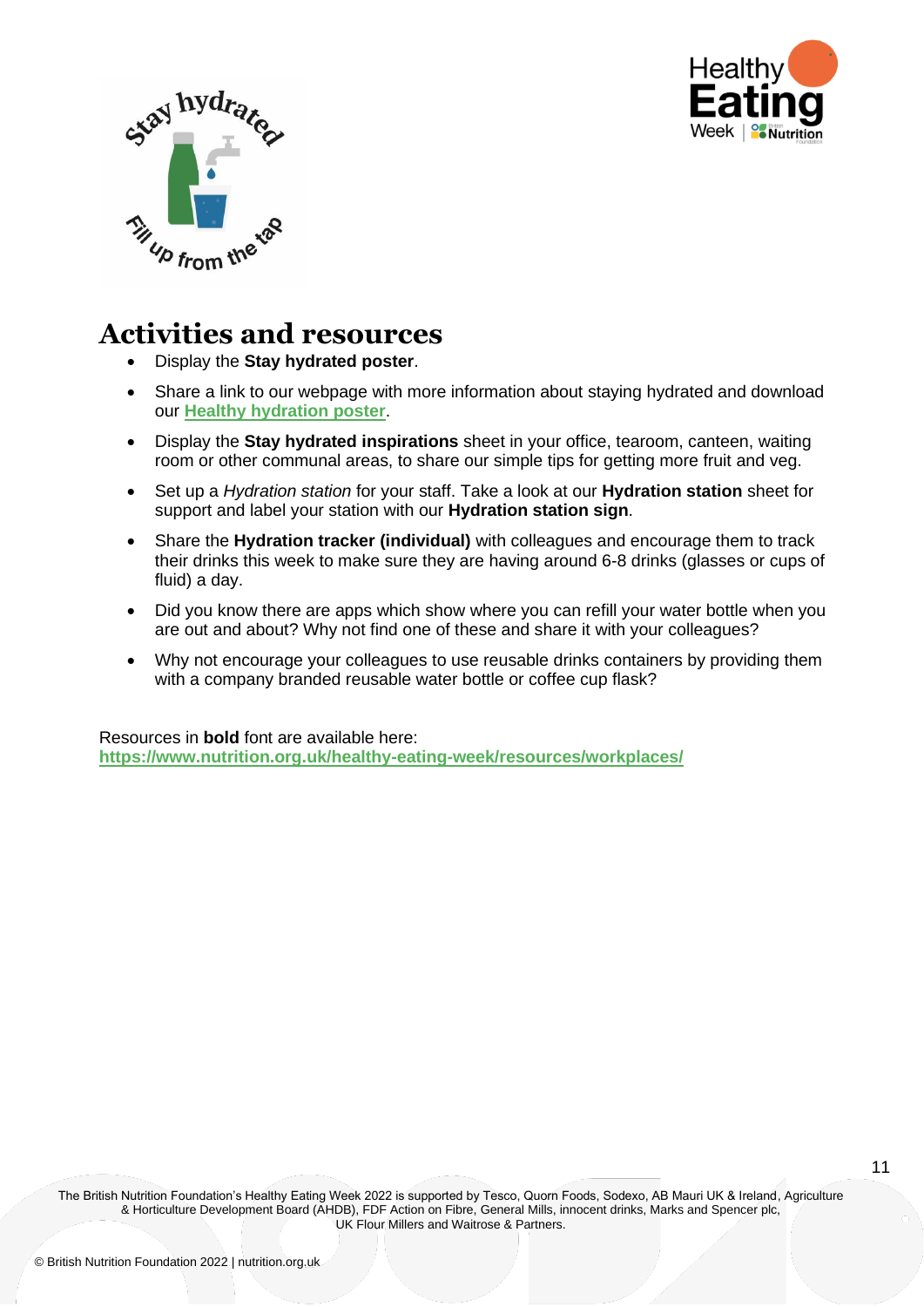



- Display the **Stay hydrated poster**.
- Share a link to our webpage with more information about staying hydrated and download our **[Healthy hydration poster](https://www.nutrition.org.uk/media/hlyha5k4/15419-bnf-hydration-posters_adults-teenagers-final.pdf)**.
- Display the **Stay hydrated inspirations** sheet in your office, tearoom, canteen, waiting room or other communal areas, to share our simple tips for getting more fruit and veg.
- Set up a *Hydration station* for your staff. Take a look at our **Hydration station** sheet for support and label your station with our **Hydration station sign**.
- Share the **Hydration tracker (individual)** with colleagues and encourage them to track their drinks this week to make sure they are having around 6-8 drinks (glasses or cups of fluid) a day.
- Did you know there are apps which show where you can refill your water bottle when you are out and about? Why not find one of these and share it with your colleagues?
- Why not encourage your colleagues to use reusable drinks containers by providing them with a company branded reusable water bottle or coffee cup flask?

Resources in **bold** font are available here: **<https://www.nutrition.org.uk/healthy-eating-week/resources/workplaces/>**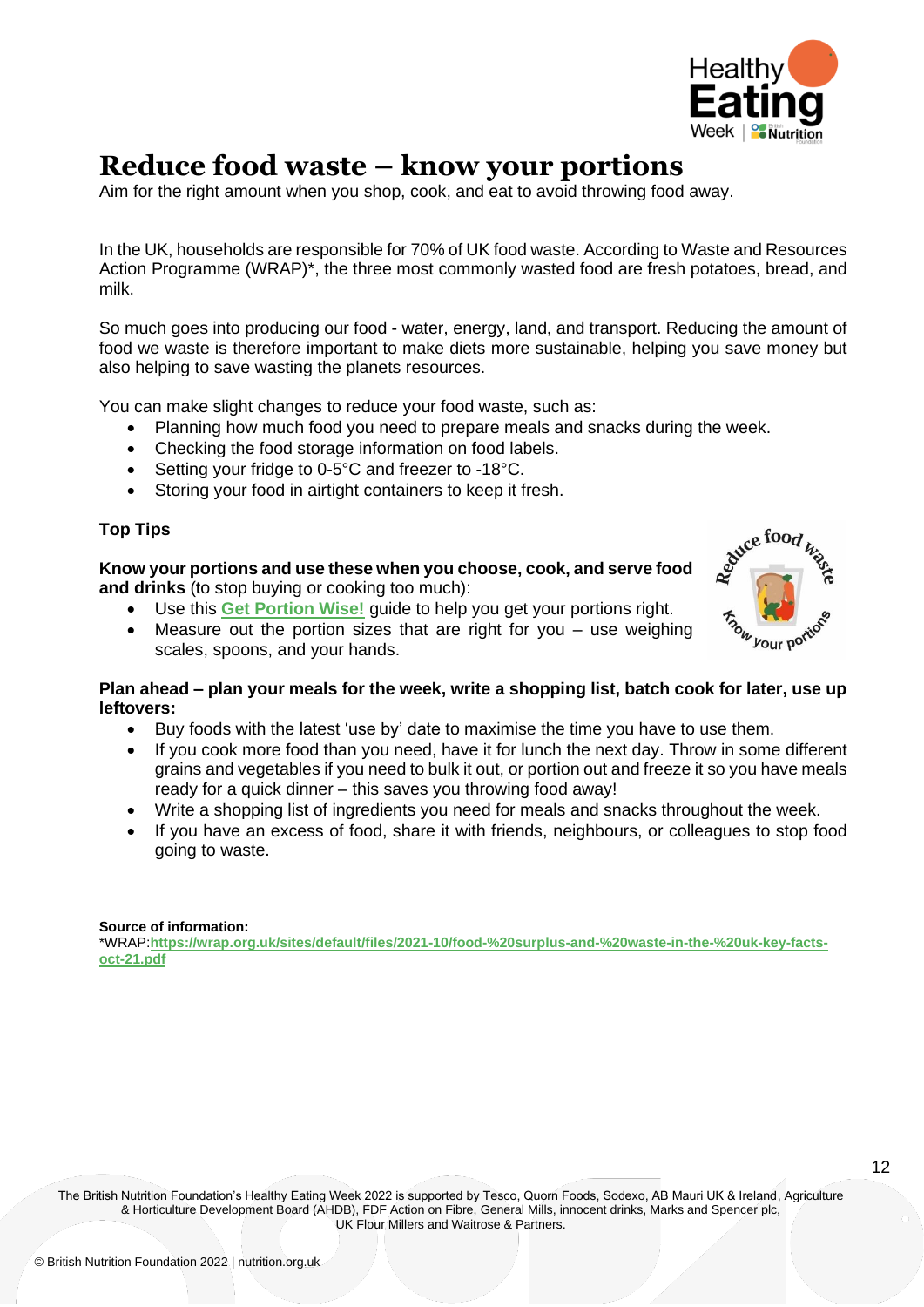

## **Reduce food waste – know your portions**

Aim for the right amount when you shop, cook, and eat to avoid throwing food away.

In the UK, households are responsible for 70% of UK food waste. According to Waste and Resources Action Programme (WRAP)\*, the three most commonly wasted food are fresh potatoes, bread, and milk.

So much goes into producing our food - water, energy, land, and transport. Reducing the amount of food we waste is therefore important to make diets more sustainable, helping you save money but also helping to save wasting the planets resources.

You can make slight changes to reduce your food waste, such as:

- Planning how much food you need to prepare meals and snacks during the week.
- Checking the food storage information on food labels.
- Setting your fridge to 0-5°C and freezer to -18°C.
- Storing your food in airtight containers to keep it fresh.

#### **Top Tips**

**Know your portions and use these when you choose, cook, and serve food and drinks** (to stop buying or cooking too much):

- Use this **[Get Portion Wise!](https://www.nutrition.org.uk/media/ohunys2u/your-balanced-diet_16pp_final_web.pdf)** guide to help you get your portions right.
- Measure out the portion sizes that are right for you use weighing scales, spoons, and your hands.



#### **Plan ahead – plan your meals for the week, write a shopping list, batch cook for later, use up leftovers:**

- Buy foods with the latest 'use by' date to maximise the time you have to use them.
- If you cook more food than you need, have it for lunch the next day. Throw in some different grains and vegetables if you need to bulk it out, or portion out and freeze it so you have meals ready for a quick dinner – this saves you throwing food away!
- Write a shopping list of ingredients you need for meals and snacks throughout the week.
- If you have an excess of food, share it with friends, neighbours, or colleagues to stop food going to waste.

#### **Source of information:**

\*WRAP:**[https://wrap.org.uk/sites/default/files/2021-10/food-%20surplus-and-%20waste-in-the-%20uk-key-facts](https://wrap.org.uk/sites/default/files/2021-10/food-%20surplus-and-%20waste-in-the-%20uk-key-facts-oct-21.pdf)[oct-21.pdf](https://wrap.org.uk/sites/default/files/2021-10/food-%20surplus-and-%20waste-in-the-%20uk-key-facts-oct-21.pdf)**